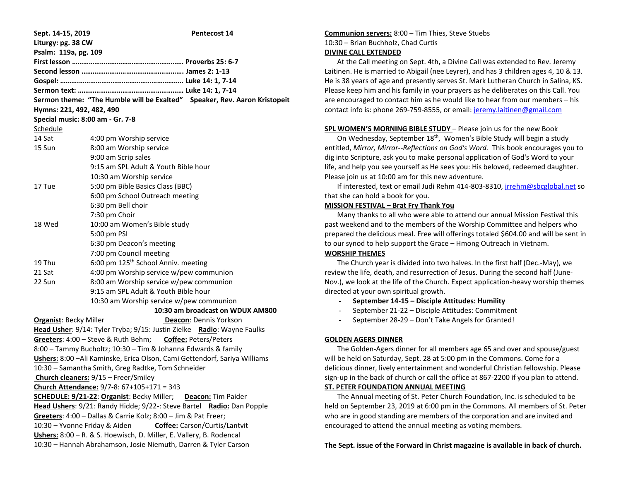| Sept. 14-15, 2019                                                     | Pentecost 14                                                               |
|-----------------------------------------------------------------------|----------------------------------------------------------------------------|
| Liturgy: pg. 38 CW                                                    |                                                                            |
| Psalm: 119a, pg. 109                                                  |                                                                            |
|                                                                       |                                                                            |
|                                                                       |                                                                            |
|                                                                       |                                                                            |
|                                                                       |                                                                            |
|                                                                       | Sermon theme: "The Humble will be Exalted" Speaker, Rev. Aaron Kristopeit  |
| Hymns: 221, 492, 482, 490                                             |                                                                            |
| Special music: 8:00 am - Gr. 7-8                                      |                                                                            |
| Schedule                                                              |                                                                            |
| 14 Sat                                                                | 4:00 pm Worship service                                                    |
| 15 Sun                                                                | 8:00 am Worship service                                                    |
|                                                                       | 9:00 am Scrip sales                                                        |
|                                                                       | 9:15 am SPL Adult & Youth Bible hour                                       |
|                                                                       | 10:30 am Worship service                                                   |
| 17 Tue                                                                | 5:00 pm Bible Basics Class (BBC)                                           |
|                                                                       | 6:00 pm School Outreach meeting                                            |
|                                                                       | 6:30 pm Bell choir                                                         |
|                                                                       | 7:30 pm Choir                                                              |
| 18 Wed                                                                | 10:00 am Women's Bible study                                               |
|                                                                       | 5:00 pm PSI                                                                |
|                                                                       | 6:30 pm Deacon's meeting                                                   |
|                                                                       | 7:00 pm Council meeting                                                    |
| 19 Thu                                                                | 6:00 pm 125 <sup>th</sup> School Anniv. meeting                            |
| 21 Sat                                                                | 4:00 pm Worship service w/pew communion                                    |
| 22 Sun                                                                | 8:00 am Worship service w/pew communion                                    |
|                                                                       | 9:15 am SPL Adult & Youth Bible hour                                       |
|                                                                       | 10:30 am Worship service w/pew communion                                   |
|                                                                       | 10:30 am broadcast on WDUX AM800                                           |
| <b>Organist: Becky Miller</b>                                         | <b>Deacon: Dennis Yorkson</b>                                              |
|                                                                       | Head Usher: 9/14: Tyler Tryba; 9/15: Justin Zielke Radio: Wayne Faulks     |
|                                                                       | Greeters: 4:00 - Steve & Ruth Behm; Coffee: Peters/Peters                  |
| 8:00 - Tammy Bucholtz; 10:30 - Tim & Johanna Edwards & family         |                                                                            |
|                                                                       | Ushers: 8:00 - Ali Kaminske, Erica Olson, Cami Gettendorf, Sariya Williams |
|                                                                       | 10:30 - Samantha Smith, Greg Radtke, Tom Schneider                         |
|                                                                       | Church cleaners: 9/15 - Freer/Smiley                                       |
| Church Attendance: 9/7-8: 67+105+171 = 343                            |                                                                            |
| SCHEDULE: 9/21-22: Organist: Becky Miller;<br>Deacon: Tim Paider      |                                                                            |
| Head Ushers: 9/21: Randy Hidde; 9/22-: Steve Bartel Radio: Dan Popple |                                                                            |
| Greeters: 4:00 - Dallas & Carrie Kolz; 8:00 - Jim & Pat Freer;        |                                                                            |
| 10:30 - Yvonne Friday & Aiden                                         | Coffee: Carson/Curtis/Lantvit                                              |
| Ushers: 8:00 - R. & S. Hoewisch, D. Miller, E. Vallery, B. Rodencal   |                                                                            |
| 10:30 - Hannah Abrahamson, Josie Niemuth, Darren & Tyler Carson       |                                                                            |

# **Communion servers:** 8:00 – Tim Thies, Steve Stuebs 10:30 – Brian Buchholz, Chad Curtis

# **DIVINE CALL EXTENDED**

 At the Call meeting on Sept. 4th, a Divine Call was extended to Rev. Jeremy Laitinen. He is married to Abigail (nee Leyrer), and has 3 children ages 4, 10 & 13. He is 38 years of age and presently serves St. Mark Lutheran Church in Salina, KS. Please keep him and his family in your prayers as he deliberates on this Call. You are encouraged to contact him as he would like to hear from our members – his contact info is: phone 269-759-8555, or email: [jeremy.laitinen@gmail.com](mailto:jeremy.laitinen@gmail.com)

**SPL WOMEN'S MORNING BIBLE STUDY** – Please join us for the new Book

On Wednesday, September 18<sup>th</sup>, Women's Bible Study will begin a study entitled, *Mirror, Mirror--Reflections on God's Word.* This book encourages you to dig into Scripture, ask you to make personal application of God's Word to your life, and help you see yourself as He sees you: His beloved, redeemed daughter. Please join us at 10:00 am for this new adventure.

 If interested, text or email Judi Rehm 414-803-8310, [jrrehm@sbcglobal.net](mailto:jrrehm@sbcglobal.net) so that she can hold a book for you.

## **MISSION FESTIVAL – Brat Fry Thank You**

 Many thanks to all who were able to attend our annual Mission Festival this past weekend and to the members of the Worship Committee and helpers who prepared the delicious meal. Free will offerings totaled \$604.00 and will be sent in to our synod to help support the Grace – Hmong Outreach in Vietnam.

## **WORSHIP THEMES**

 The Church year is divided into two halves. In the first half (Dec.-May), we review the life, death, and resurrection of Jesus. During the second half (June-Nov.), we look at the life of the Church. Expect application-heavy worship themes directed at your own spiritual growth.

- **September 14-15 – Disciple Attitudes: Humility**
- September 21-22 Disciple Attitudes: Commitment
- September 28-29 Don't Take Angels for Granted!

# **GOLDEN AGERS DINNER**

 The Golden-Agers dinner for all members age 65 and over and spouse/guest will be held on Saturday, Sept. 28 at 5:00 pm in the Commons. Come for a delicious dinner, lively entertainment and wonderful Christian fellowship. Please sign-up in the back of church or call the office at 867-2200 if you plan to attend. **ST. PETER FOUNDATION ANNUAL MEETING**

 The Annual meeting of St. Peter Church Foundation, Inc. is scheduled to be held on September 23, 2019 at 6:00 pm in the Commons. All members of St. Peter who are in good standing are members of the corporation and are invited and encouraged to attend the annual meeting as voting members.

**The Sept. issue of the Forward in Christ magazine is available in back of church.**